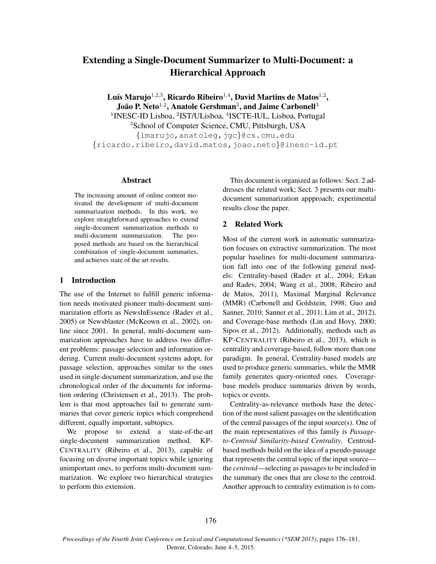# Extending a Single-Document Summarizer to Multi-Document: a Hierarchical Approach

Luís Marujo $^{1,2,3}$ , Ricardo Ribeiro $^{1,4}$ , David Martins de Matos $^{1,2}$ , João P. Neto $^{1,2}$ , Anatole Gershman $^3$ , and Jaime Carbonell $^3$ <sup>1</sup>INESC-ID Lisboa, <sup>2</sup>IST/ULisboa, <sup>4</sup>ISCTE-IUL, Lisboa, Portugal <sup>3</sup>School of Computer Science, CMU, Pittsburgh, USA {lmarujo,anatoleg,jgc}@cs.cmu.edu {ricardo.ribeiro,david.matos,joao.neto}@inesc-id.pt

### Abstract

The increasing amount of online content motivated the development of multi-document summarization methods. In this work, we explore straightforward approaches to extend single-document summarization methods to multi-document summarization. The proposed methods are based on the hierarchical combination of single-document summaries, and achieves state of the art results.

# 1 Introduction

The use of the Internet to fulfill generic information needs motivated pioneer multi-document summarization efforts as NewsInEssence (Radev et al., 2005) or Newsblaster (McKeown et al., 2002), online since 2001. In general, multi-document summarization approaches have to address two different problems: passage selection and information ordering. Current multi-document systems adopt, for passage selection, approaches similar to the ones used in single-document summarization, and use the chronological order of the documents for information ordering (Christensen et al., 2013). The problem is that most approaches fail to generate summaries that cover generic topics which comprehend different, equally important, subtopics.

We propose to extend a state-of-the-art single-document summarization method, KP-CENTRALITY (Ribeiro et al., 2013), capable of focusing on diverse important topics while ignoring unimportant ones, to perform multi-document summarization. We explore two hierarchical strategies to perform this extension.

This document is organized as follows: Sect. 2 addresses the related work; Sect. 3 presents our multidocument summarization appproach; experimental results close the paper.

# 2 Related Work

Most of the current work in automatic summarization focuses on extractive summarization. The most popular baselines for multi-document summarization fall into one of the following general models: Centrality-based (Radev et al., 2004; Erkan and Radev, 2004; Wang et al., 2008; Ribeiro and de Matos, 2011), Maximal Marginal Relevance (MMR) (Carbonell and Goldstein, 1998; Guo and Sanner, 2010; Sanner et al., 2011; Lim et al., 2012), and Coverage-base methods (Lin and Hovy, 2000; Sipos et al., 2012). Additionally, methods such as KP-CENTRALITY (Ribeiro et al., 2013), which is centrality and coverage-based, follow more than one paradigm. In general, Centrality-based models are used to produce generic summaries, while the MMR family generates query-oriented ones. Coveragebase models produce summaries driven by words, topics or events.

Centrality-as-relevance methods base the detection of the most salient passages on the identification of the central passages of the input source(s). One of the main representatives of this family is *Passageto-Centroid Similarity-based Centrality*. Centroidbased methods build on the idea of a pseudo-passage that represents the central topic of the input source the *centroid*—selecting as passages to be included in the summary the ones that are close to the centroid. Another approach to centrality estimation is to com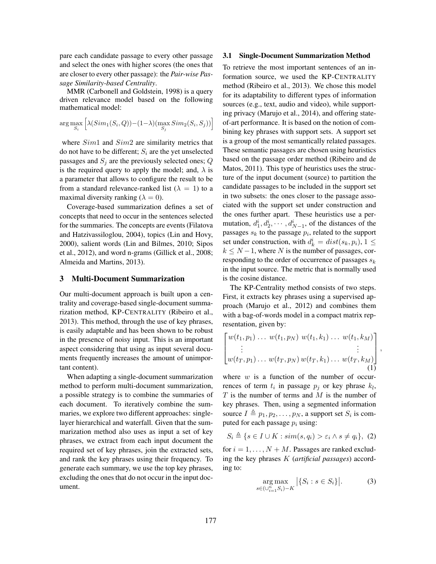pare each candidate passage to every other passage and select the ones with higher scores (the ones that are closer to every other passage): the *Pair-wise Passage Similarity-based Centrality*.

MMR (Carbonell and Goldstein, 1998) is a query driven relevance model based on the following mathematical model:

$$
\arg\max_{S_i}\Big[\lambda(Sim_1(S_i,Q)) - (1-\lambda) (\max_{S_j} Sim_2(S_i,S_j))\Big]
$$

where  $Sim1$  and  $Sim2$  are similarity metrics that do not have to be different;  $S_i$  are the yet unselected passages and  $S_i$  are the previously selected ones;  $Q$ is the required query to apply the model; and,  $\lambda$  is a parameter that allows to configure the result to be from a standard relevance-ranked list ( $\lambda = 1$ ) to a maximal diversity ranking ( $\lambda = 0$ ).

Coverage-based summarization defines a set of concepts that need to occur in the sentences selected for the summaries. The concepts are events (Filatova and Hatzivassiloglou, 2004), topics (Lin and Hovy, 2000), salient words (Lin and Bilmes, 2010; Sipos et al., 2012), and word n-grams (Gillick et al., 2008; Almeida and Martins, 2013).

#### 3 Multi-Document Summarization

Our multi-document approach is built upon a centrality and coverage-based single-document summarization method, KP-CENTRALITY (Ribeiro et al., 2013). This method, through the use of key phrases, is easily adaptable and has been shown to be robust in the presence of noisy input. This is an important aspect considering that using as input several documents frequently increases the amount of unimportant content).

When adapting a single-document summarization method to perform multi-document summarization, a possible strategy is to combine the summaries of each document. To iteratively combine the summaries, we explore two different approaches: singlelayer hierarchical and waterfall. Given that the summarization method also uses as input a set of key phrases, we extract from each input document the required set of key phrases, join the extracted sets, and rank the key phrases using their frequency. To generate each summary, we use the top key phrases, excluding the ones that do not occur in the input document.

#### 3.1 Single-Document Summarization Method

To retrieve the most important sentences of an information source, we used the KP-CENTRALITY method (Ribeiro et al., 2013). We chose this model for its adaptability to different types of information sources (e.g., text, audio and video), while supporting privacy (Marujo et al., 2014), and offering stateof-art performance. It is based on the notion of combining key phrases with support sets. A support set is a group of the most semantically related passages. These semantic passages are chosen using heuristics based on the passage order method (Ribeiro and de Matos, 2011). This type of heuristics uses the structure of the input document (source) to partition the candidate passages to be included in the support set in two subsets: the ones closer to the passage associated with the support set under construction and the ones further apart. These heuristics use a permutation,  $d_1^i, d_2^i, \dots, d_{N-1}^i$ , of the distances of the passages  $s_k$  to the passage  $p_i$ , related to the support set under construction, with  $d_k^i = dist(s_k, p_i)$ ,  $1 \leq$  $k \leq N-1$ , where N is the number of passages, corresponding to the order of occurrence of passages  $s_k$ in the input source. The metric that is normally used is the cosine distance.

The KP-Centrality method consists of two steps. First, it extracts key phrases using a supervised approach (Marujo et al., 2012) and combines them with a bag-of-words model in a compact matrix representation, given by:

$$
\begin{bmatrix} w(t_1, p_1) \dots w(t_1, p_N) w(t_1, k_1) \dots w(t_1, k_M) \\ \vdots & \vdots \\ w(t_T, p_1) \dots w(t_T, p_N) w(t_T, k_1) \dots w(t_T, k_M) \end{bmatrix},
$$
\n(1)

where  $w$  is a function of the number of occurrences of term  $t_i$  in passage  $p_j$  or key phrase  $k_l$ ,  $T$  is the number of terms and  $M$  is the number of key phrases. Then, using a segmented information source  $I \triangleq p_1, p_2, \ldots, p_N$ , a support set  $S_i$  is computed for each passage  $p_i$  using:

$$
S_i \triangleq \{ s \in I \cup K : sim(s, q_i) > \varepsilon_i \land s \neq q_i \}, (2)
$$

for  $i = 1, \ldots, N + M$ . Passages are ranked excluding the key phrases K (*artificial passages*) according to:

$$
\underset{s \in (\cup_{i=1}^n S_i) - K}{\arg \max} \left| \{ S_i : s \in S_i \} \right|.
$$
 (3)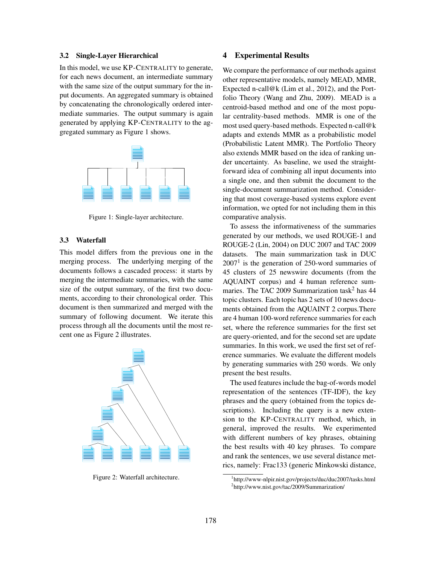#### 3.2 Single-Layer Hierarchical

In this model, we use KP-CENTRALITY to generate, for each news document, an intermediate summary with the same size of the output summary for the input documents. An aggregated summary is obtained by concatenating the chronologically ordered intermediate summaries. The output summary is again generated by applying KP-CENTRALITY to the aggregated summary as Figure 1 shows.



Figure 1: Single-layer architecture.

#### 3.3 Waterfall

This model differs from the previous one in the merging process. The underlying merging of the documents follows a cascaded process: it starts by merging the intermediate summaries, with the same size of the output summary, of the first two documents, according to their chronological order. This document is then summarized and merged with the summary of following document. We iterate this process through all the documents until the most recent one as Figure 2 illustrates.



Figure 2: Waterfall architecture.

# 4 Experimental Results

We compare the performance of our methods against other representative models, namely MEAD, MMR, Expected n-call@k (Lim et al., 2012), and the Portfolio Theory (Wang and Zhu, 2009). MEAD is a centroid-based method and one of the most popular centrality-based methods. MMR is one of the most used query-based methods. Expected n-call@k adapts and extends MMR as a probabilistic model (Probabilistic Latent MMR). The Portfolio Theory also extends MMR based on the idea of ranking under uncertainty. As baseline, we used the straightforward idea of combining all input documents into a single one, and then submit the document to the single-document summarization method. Considering that most coverage-based systems explore event information, we opted for not including them in this comparative analysis.

To assess the informativeness of the summaries generated by our methods, we used ROUGE-1 and ROUGE-2 (Lin, 2004) on DUC 2007 and TAC 2009 datasets. The main summarization task in DUC  $2007<sup>1</sup>$  is the generation of 250-word summaries of 45 clusters of 25 newswire documents (from the AQUAINT corpus) and 4 human reference summaries. The TAC 2009 Summarization task<sup>2</sup> has  $44$ topic clusters. Each topic has 2 sets of 10 news documents obtained from the AQUAINT 2 corpus.There are 4 human 100-word reference summaries for each set, where the reference summaries for the first set are query-oriented, and for the second set are update summaries. In this work, we used the first set of reference summaries. We evaluate the different models by generating summaries with 250 words. We only present the best results.

The used features include the bag-of-words model representation of the sentences (TF-IDF), the key phrases and the query (obtained from the topics descriptions). Including the query is a new extension to the KP-CENTRALITY method, which, in general, improved the results. We experimented with different numbers of key phrases, obtaining the best results with 40 key phrases. To compare and rank the sentences, we use several distance metrics, namely: Frac133 (generic Minkowski distance,

<sup>1</sup> http://www-nlpir.nist.gov/projects/duc/duc2007/tasks.html 2 http://www.nist.gov/tac/2009/Summarization/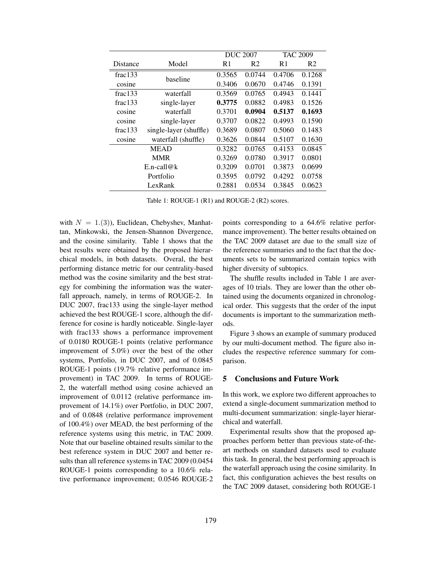|                  |                        | <b>DUC 2007</b> |                | <b>TAC 2009</b> |                |
|------------------|------------------------|-----------------|----------------|-----------------|----------------|
| Distance         | Model                  | R1              | R <sub>2</sub> | R <sub>1</sub>  | R <sub>2</sub> |
| frac133          | baseline               | 0.3565          | 0.0744         | 0.4706          | 0.1268         |
| cosine           |                        | 0.3406          | 0.0670         | 0.4746          | 0.1391         |
| frac133          | waterfall              | 0.3569          | 0.0765         | 0.4943          | 0.1441         |
| frac133          | single-layer           | 0.3775          | 0.0882         | 0.4983          | 0.1526         |
| cosine           | waterfall              | 0.3701          | 0.0904         | 0.5137          | 0.1693         |
| cosine           | single-layer           | 0.3707          | 0.0822         | 0.4993          | 0.1590         |
| frac133          | single-layer (shuffle) | 0.3689          | 0.0807         | 0.5060          | 0.1483         |
| cosine           | waterfall (shuffle)    | 0.3626          | 0.0844         | 0.5107          | 0.1630         |
| <b>MEAD</b>      |                        | 0.3282          | 0.0765         | 0.4153          | 0.0845         |
| <b>MMR</b>       |                        | 0.3269          | 0.0780         | 0.3917          | 0.0801         |
| $E.n$ -call $@k$ |                        | 0.3209          | 0.0701         | 0.3873          | 0.0699         |
| Portfolio        |                        | 0.3595          | 0.0792         | 0.4292          | 0.0758         |
| LexRank          |                        | 0.2881          | 0.0534         | 0.3845          | 0.0623         |

Table 1: ROUGE-1 (R1) and ROUGE-2 (R2) scores.

with  $N = 1.(3)$ , Euclidean, Chebyshev, Manhattan, Minkowski, the Jensen-Shannon Divergence, and the cosine similarity. Table 1 shows that the best results were obtained by the proposed hierarchical models, in both datasets. Overal, the best performing distance metric for our centrality-based method was the cosine similarity and the best strategy for combining the information was the waterfall approach, namely, in terms of ROUGE-2. In DUC 2007, frac133 using the single-layer method achieved the best ROUGE-1 score, although the difference for cosine is hardly noticeable. Single-layer with frac133 shows a performance improvement of 0.0180 ROUGE-1 points (relative performance improvement of 5.0%) over the best of the other systems, Portfolio, in DUC 2007, and of 0.0845 ROUGE-1 points (19.7% relative performance improvement) in TAC 2009. In terms of ROUGE-2, the waterfall method using cosine achieved an improvement of 0.0112 (relative performance improvement of 14.1%) over Portfolio, in DUC 2007, and of 0.0848 (relative performance improvement of 100.4%) over MEAD, the best performing of the reference systems using this metric, in TAC 2009. Note that our baseline obtained results similar to the best reference system in DUC 2007 and better results than all reference systems in TAC 2009 (0.0454 ROUGE-1 points corresponding to a 10.6% relative performance improvement; 0.0546 ROUGE-2

points corresponding to a 64.6% relative performance improvement). The better results obtained on the TAC 2009 dataset are due to the small size of the reference summaries and to the fact that the documents sets to be summarized contain topics with higher diversity of subtopics.

The shuffle results included in Table 1 are averages of 10 trials. They are lower than the other obtained using the documents organized in chronological order. This suggests that the order of the input documents is important to the summarization methods.

Figure 3 shows an example of summary produced by our multi-document method. The figure also includes the respective reference summary for comparison.

### 5 Conclusions and Future Work

In this work, we explore two different approaches to extend a single-document summarization method to multi-document summarization: single-layer hierarchical and waterfall.

Experimental results show that the proposed approaches perform better than previous state-of-theart methods on standard datasets used to evaluate this task. In general, the best performing approach is the waterfall approach using the cosine similarity. In fact, this configuration achieves the best results on the TAC 2009 dataset, considering both ROUGE-1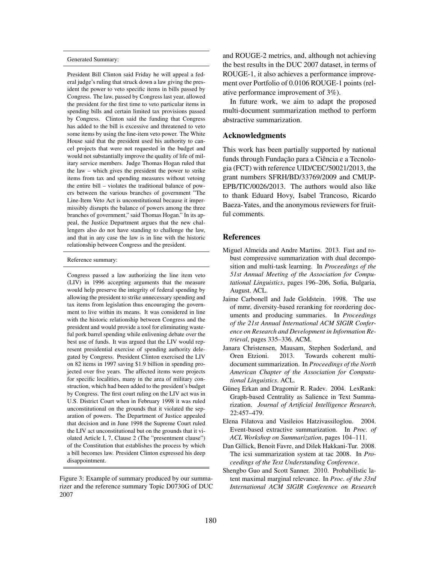#### Generated Summary:

President Bill Clinton said Friday he will appeal a federal judge's ruling that struck down a law giving the president the power to veto specific items in bills passed by Congress. The law, passed by Congress last year, allowed the president for the first time to veto particular items in spending bills and certain limited tax provisions passed by Congress. Clinton said the funding that Congress has added to the bill is excessive and threatened to veto some items by using the line-item veto power. The White House said that the president used his authority to cancel projects that were not requested in the budget and would not substantially improve the quality of life of military service members. Judge Thomas Hogan ruled that the law – which gives the president the power to strike items from tax and spending measures without vetoing the entire bill – violates the traditional balance of powers between the various branches of government "The Line-Item Veto Act is unconstitutional because it impermissibly disrupts the balance of powers among the three branches of government," said Thomas Hogan." In its appeal, the Justice Department argues that the new challengers also do not have standing to challenge the law, and that in any case the law is in line with the historic relationship between Congress and the president.

#### Reference summary:

Congress passed a law authorizing the line item veto (LIV) in 1996 accepting arguments that the measure would help preserve the integrity of federal spending by allowing the president to strike unnecessary spending and tax items from legislation thus encouraging the government to live within its means. It was considered in line with the historic relationship between Congress and the president and would provide a tool for eliminating wasteful pork barrel spending while enlivening debate over the best use of funds. It was argued that the LIV would represent presidential exercise of spending authority delegated by Congress. President Clinton exercised the LIV on 82 items in 1997 saving \$1.9 billion in spending projected over five years. The affected items were projects for specific localities, many in the area of military construction, which had been added to the president's budget by Congress. The first court ruling on the LIV act was in U.S. District Court when in February 1998 it was ruled unconstitutional on the grounds that it violated the separation of powers. The Department of Justice appealed that decision and in June 1998 the Supreme Court ruled the LIV act unconstitutional but on the grounds that it violated Article I, 7, Clause 2 (The "presentment clause") of the Constitution that establishes the process by which a bill becomes law. President Clinton expressed his deep disappointment.

Figure 3: Example of summary produced by our summarizer and the reference summary Topic D0730G of DUC 2007

and ROUGE-2 metrics, and, although not achieving the best results in the DUC 2007 dataset, in terms of ROUGE-1, it also achieves a performance improvement over Portfolio of 0.0106 ROUGE-1 points (relative performance improvement of 3%).

In future work, we aim to adapt the proposed multi-document summarization method to perform abstractive summarization.

#### Acknowledgments

This work has been partially supported by national funds through Fundação para a Ciência e a Tecnologia (FCT) with reference UID/CEC/50021/2013, the grant numbers SFRH/BD/33769/2009 and CMUP-EPB/TIC/0026/2013. The authors would also like to thank Eduard Hovy, Isabel Trancoso, Ricardo Baeza-Yates, and the anonymous reviewers for fruitful comments.

#### References

- Miguel Almeida and Andre Martins. 2013. Fast and robust compressive summarization with dual decomposition and multi-task learning. In *Proceedings of the 51st Annual Meeting of the Association for Computational Linguistics*, pages 196–206, Sofia, Bulgaria, August. ACL.
- Jaime Carbonell and Jade Goldstein. 1998. The use of mmr, diversity-based reranking for reordering documents and producing summaries. In *Proceedings of the 21st Annual International ACM SIGIR Conference on Research and Development in Information Retrieval*, pages 335–336. ACM.
- Janara Christensen, Mausam, Stephen Soderland, and Oren Etzioni. 2013. Towards coherent multidocument summarization. In *Proceedings of the North American Chapter of the Association for Computational Linguistics*. ACL.
- Günes Erkan and Dragomir R. Radev. 2004. LexRank: Graph-based Centrality as Salience in Text Summarization. *Journal of Artificial Intelligence Research*, 22:457–479.
- Elena Filatova and Vasileios Hatzivassiloglou. 2004. Event-based extractive summarization. In *Proc. of ACL Workshop on Summarization*, pages 104–111.
- Dan Gillick, Benoit Favre, and Dilek Hakkani-Tur. 2008. The icsi summarization system at tac 2008. In *Proceedings of the Text Understanding Conference*.
- Shengbo Guo and Scott Sanner. 2010. Probabilistic latent maximal marginal relevance. In *Proc. of the 33rd International ACM SIGIR Conference on Research*